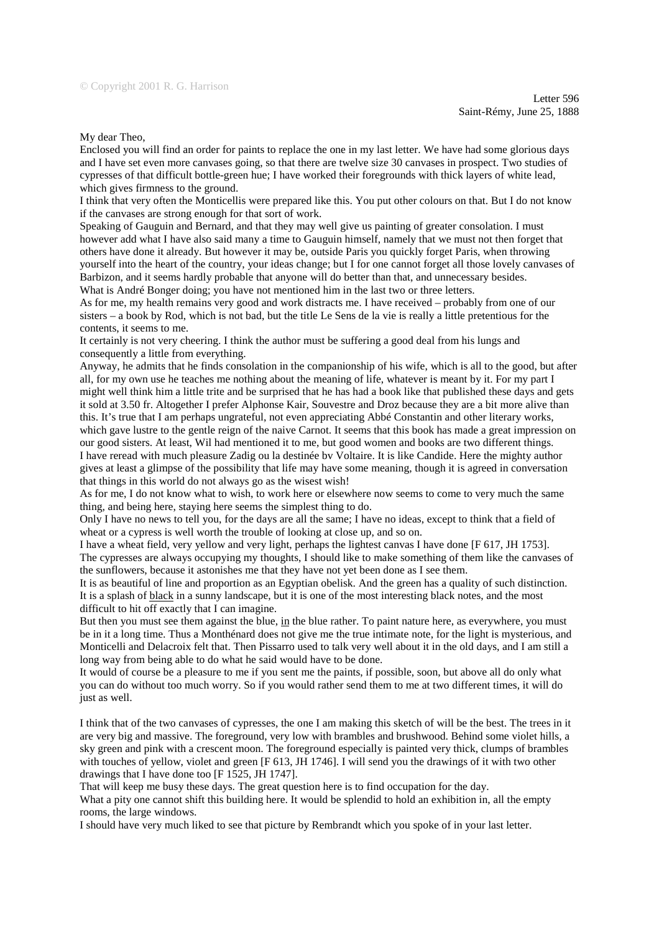## My dear Theo,

Enclosed you will find an order for paints to replace the one in my last letter. We have had some glorious days and I have set even more canvases going, so that there are twelve size 30 canvases in prospect. Two studies of cypresses of that difficult bottle-green hue; I have worked their foregrounds with thick layers of white lead, which gives firmness to the ground.

I think that very often the Monticellis were prepared like this. You put other colours on that. But I do not know if the canvases are strong enough for that sort of work.

Speaking of Gauguin and Bernard, and that they may well give us painting of greater consolation. I must however add what I have also said many a time to Gauguin himself, namely that we must not then forget that others have done it already. But however it may be, outside Paris you quickly forget Paris, when throwing yourself into the heart of the country, your ideas change; but I for one cannot forget all those lovely canvases of Barbizon, and it seems hardly probable that anyone will do better than that, and unnecessary besides. What is André Bonger doing; you have not mentioned him in the last two or three letters.

As for me, my health remains very good and work distracts me. I have received – probably from one of our sisters – a book by Rod, which is not bad, but the title Le Sens de la vie is really a little pretentious for the contents, it seems to me.

It certainly is not very cheering. I think the author must be suffering a good deal from his lungs and consequently a little from everything.

Anyway, he admits that he finds consolation in the companionship of his wife, which is all to the good, but after all, for my own use he teaches me nothing about the meaning of life, whatever is meant by it. For my part I might well think him a little trite and be surprised that he has had a book like that published these days and gets it sold at 3.50 fr. Altogether I prefer Alphonse Kair, Souvestre and Droz because they are a bit more alive than this. It's true that I am perhaps ungrateful, not even appreciating Abbé Constantin and other literary works, which gave lustre to the gentle reign of the naive Carnot. It seems that this book has made a great impression on our good sisters. At least, Wil had mentioned it to me, but good women and books are two different things. I have reread with much pleasure Zadig ou la destinée bv Voltaire. It is like Candide. Here the mighty author gives at least a glimpse of the possibility that life may have some meaning, though it is agreed in conversation that things in this world do not always go as the wisest wish!

As for me, I do not know what to wish, to work here or elsewhere now seems to come to very much the same thing, and being here, staying here seems the simplest thing to do.

Only I have no news to tell you, for the days are all the same; I have no ideas, except to think that a field of wheat or a cypress is well worth the trouble of looking at close up, and so on.

I have a wheat field, very yellow and very light, perhaps the lightest canvas I have done [F 617, JH 1753]. The cypresses are always occupying my thoughts, I should like to make something of them like the canvases of the sunflowers, because it astonishes me that they have not yet been done as I see them.

It is as beautiful of line and proportion as an Egyptian obelisk. And the green has a quality of such distinction. It is a splash of black in a sunny landscape, but it is one of the most interesting black notes, and the most difficult to hit off exactly that I can imagine.

But then you must see them against the blue, in the blue rather. To paint nature here, as everywhere, you must be in it a long time. Thus a Monthénard does not give me the true intimate note, for the light is mysterious, and Monticelli and Delacroix felt that. Then Pissarro used to talk very well about it in the old days, and I am still a long way from being able to do what he said would have to be done.

It would of course be a pleasure to me if you sent me the paints, if possible, soon, but above all do only what you can do without too much worry. So if you would rather send them to me at two different times, it will do just as well.

I think that of the two canvases of cypresses, the one I am making this sketch of will be the best. The trees in it are very big and massive. The foreground, very low with brambles and brushwood. Behind some violet hills, a sky green and pink with a crescent moon. The foreground especially is painted very thick, clumps of brambles with touches of yellow, violet and green [F 613, JH 1746]. I will send you the drawings of it with two other drawings that I have done too [F 1525, JH 1747].

That will keep me busy these days. The great question here is to find occupation for the day.

What a pity one cannot shift this building here. It would be splendid to hold an exhibition in, all the empty rooms, the large windows.

I should have very much liked to see that picture by Rembrandt which you spoke of in your last letter.